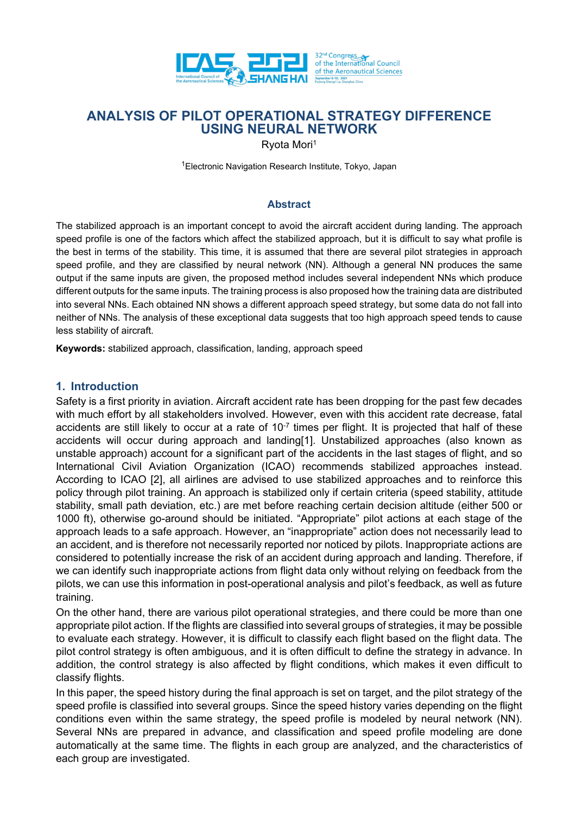

Ryota Mori1

<sup>1</sup>Electronic Navigation Research Institute, Tokyo, Japan

### **Abstract**

The stabilized approach is an important concept to avoid the aircraft accident during landing. The approach speed profile is one of the factors which affect the stabilized approach, but it is difficult to say what profile is the best in terms of the stability. This time, it is assumed that there are several pilot strategies in approach speed profile, and they are classified by neural network (NN). Although a general NN produces the same output if the same inputs are given, the proposed method includes several independent NNs which produce different outputs for the same inputs. The training process is also proposed how the training data are distributed into several NNs. Each obtained NN shows a different approach speed strategy, but some data do not fall into neither of NNs. The analysis of these exceptional data suggests that too high approach speed tends to cause less stability of aircraft.

**Keywords:** stabilized approach, classification, landing, approach speed

### **1. Introduction**

Safety is a first priority in aviation. Aircraft accident rate has been dropping for the past few decades with much effort by all stakeholders involved. However, even with this accident rate decrease, fatal accidents are still likely to occur at a rate of  $10^{-7}$  times per flight. It is projected that half of these accidents will occur during approach and landing[1]. Unstabilized approaches (also known as unstable approach) account for a significant part of the accidents in the last stages of flight, and so International Civil Aviation Organization (ICAO) recommends stabilized approaches instead. According to ICAO [2], all airlines are advised to use stabilized approaches and to reinforce this policy through pilot training. An approach is stabilized only if certain criteria (speed stability, attitude stability, small path deviation, etc.) are met before reaching certain decision altitude (either 500 or 1000 ft), otherwise go-around should be initiated. "Appropriate" pilot actions at each stage of the approach leads to a safe approach. However, an "inappropriate" action does not necessarily lead to an accident, and is therefore not necessarily reported nor noticed by pilots. Inappropriate actions are considered to potentially increase the risk of an accident during approach and landing. Therefore, if we can identify such inappropriate actions from flight data only without relying on feedback from the pilots, we can use this information in post-operational analysis and pilot's feedback, as well as future training.

On the other hand, there are various pilot operational strategies, and there could be more than one appropriate pilot action. If the flights are classified into several groups of strategies, it may be possible to evaluate each strategy. However, it is difficult to classify each flight based on the flight data. The pilot control strategy is often ambiguous, and it is often difficult to define the strategy in advance. In addition, the control strategy is also affected by flight conditions, which makes it even difficult to classify flights.

In this paper, the speed history during the final approach is set on target, and the pilot strategy of the speed profile is classified into several groups. Since the speed history varies depending on the flight conditions even within the same strategy, the speed profile is modeled by neural network (NN). Several NNs are prepared in advance, and classification and speed profile modeling are done automatically at the same time. The flights in each group are analyzed, and the characteristics of each group are investigated.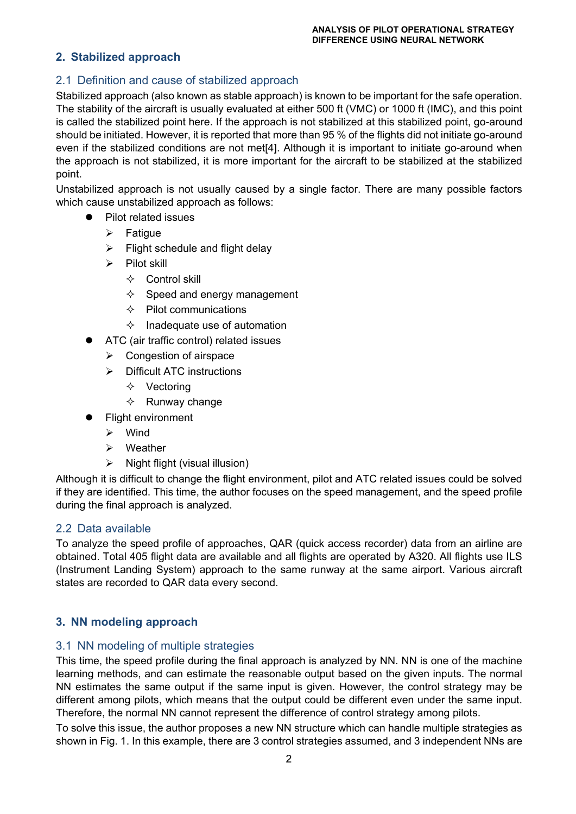# **2. Stabilized approach**

# 2.1 Definition and cause of stabilized approach

Stabilized approach (also known as stable approach) is known to be important for the safe operation. The stability of the aircraft is usually evaluated at either 500 ft (VMC) or 1000 ft (IMC), and this point is called the stabilized point here. If the approach is not stabilized at this stabilized point, go-around should be initiated. However, it is reported that more than 95 % of the flights did not initiate go-around even if the stabilized conditions are not met[4]. Although it is important to initiate go-around when the approach is not stabilized, it is more important for the aircraft to be stabilized at the stabilized point.

Unstabilized approach is not usually caused by a single factor. There are many possible factors which cause unstabilized approach as follows:

- Pilot related issues
	- $\triangleright$  Fatigue
	- $\triangleright$  Flight schedule and flight delay
	- $\triangleright$  Pilot skill
		- $\Leftrightarrow$  Control skill
		- $\Diamond$  Speed and energy management
		- $\Leftrightarrow$  Pilot communications
		- $\Diamond$  Inadequate use of automation
- ATC (air traffic control) related issues
	- $\triangleright$  Congestion of airspace
	- $\triangleright$  Difficult ATC instructions
		- $\Diamond$  Vectoring
		- $\Leftrightarrow$  Runway change
- Flight environment
	- Wind
	- Weather
	- $\triangleright$  Night flight (visual illusion)

Although it is difficult to change the flight environment, pilot and ATC related issues could be solved if they are identified. This time, the author focuses on the speed management, and the speed profile during the final approach is analyzed.

### 2.2 Data available

To analyze the speed profile of approaches, QAR (quick access recorder) data from an airline are obtained. Total 405 flight data are available and all flights are operated by A320. All flights use ILS (Instrument Landing System) approach to the same runway at the same airport. Various aircraft states are recorded to QAR data every second.

# **3. NN modeling approach**

# 3.1 NN modeling of multiple strategies

This time, the speed profile during the final approach is analyzed by NN. NN is one of the machine learning methods, and can estimate the reasonable output based on the given inputs. The normal NN estimates the same output if the same input is given. However, the control strategy may be different among pilots, which means that the output could be different even under the same input. Therefore, the normal NN cannot represent the difference of control strategy among pilots.

To solve this issue, the author proposes a new NN structure which can handle multiple strategies as shown in Fig. 1. In this example, there are 3 control strategies assumed, and 3 independent NNs are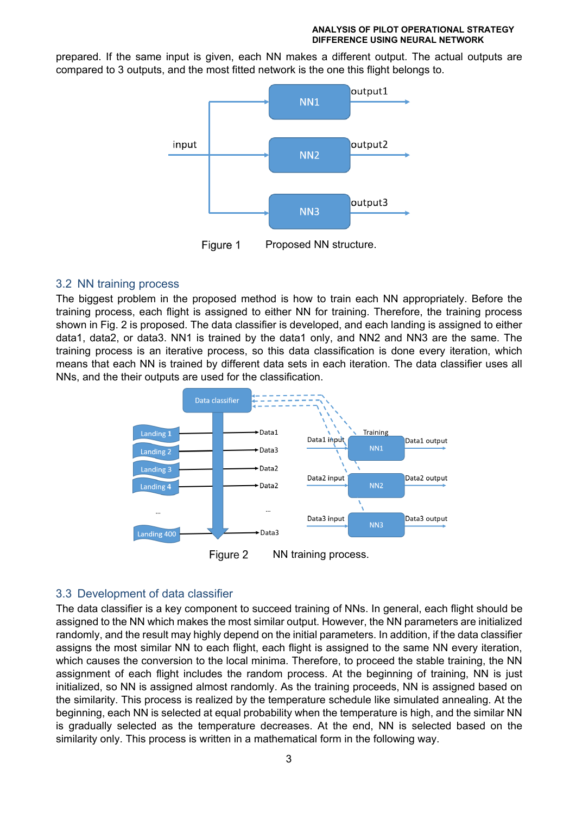prepared. If the same input is given, each NN makes a different output. The actual outputs are compared to 3 outputs, and the most fitted network is the one this flight belongs to.



Figure 1 Proposed NN structure.

## 3.2 NN training process

The biggest problem in the proposed method is how to train each NN appropriately. Before the training process, each flight is assigned to either NN for training. Therefore, the training process shown in Fig. 2 is proposed. The data classifier is developed, and each landing is assigned to either data1, data2, or data3. NN1 is trained by the data1 only, and NN2 and NN3 are the same. The training process is an iterative process, so this data classification is done every iteration, which means that each NN is trained by different data sets in each iteration. The data classifier uses all NNs, and the their outputs are used for the classification.



Figure 2 NN training process.

# 3.3 Development of data classifier

The data classifier is a key component to succeed training of NNs. In general, each flight should be assigned to the NN which makes the most similar output. However, the NN parameters are initialized randomly, and the result may highly depend on the initial parameters. In addition, if the data classifier assigns the most similar NN to each flight, each flight is assigned to the same NN every iteration, which causes the conversion to the local minima. Therefore, to proceed the stable training, the NN assignment of each flight includes the random process. At the beginning of training, NN is just initialized, so NN is assigned almost randomly. As the training proceeds, NN is assigned based on the similarity. This process is realized by the temperature schedule like simulated annealing. At the beginning, each NN is selected at equal probability when the temperature is high, and the similar NN is gradually selected as the temperature decreases. At the end, NN is selected based on the similarity only. This process is written in a mathematical form in the following way.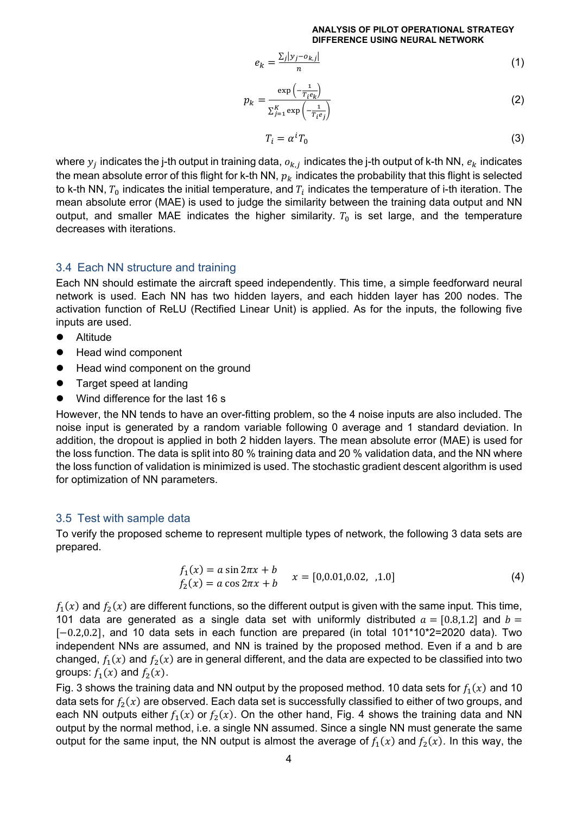$$
e_k = \frac{\sum_j |y_j - o_{k,j}|}{n} \tag{1}
$$

$$
p_k = \frac{\exp\left(-\frac{1}{T_i e_k}\right)}{\sum_{j=1}^K \exp\left(-\frac{1}{T_i e_j}\right)}
$$
(2)

$$
T_i = \alpha^i T_0 \tag{3}
$$

where  $y_j$  indicates the j-th output in training data,  $o_{k,j}$  indicates the j-th output of k-th NN,  $e_k$  indicates the mean absolute error of this flight for k-th NN,  $p_k$  indicates the probability that this flight is selected to k-th NN,  $T_0$  indicates the initial temperature, and  $T_i$  indicates the temperature of i-th iteration. The mean absolute error (MAE) is used to judge the similarity between the training data output and NN output, and smaller MAE indicates the higher similarity.  $T_0$  is set large, and the temperature decreases with iterations.

### 3.4 Each NN structure and training

Each NN should estimate the aircraft speed independently. This time, a simple feedforward neural network is used. Each NN has two hidden layers, and each hidden layer has 200 nodes. The activation function of ReLU (Rectified Linear Unit) is applied. As for the inputs, the following five inputs are used.

- **•** Altitude
- Head wind component
- Head wind component on the ground
- Target speed at landing
- Wind difference for the last 16 s

However, the NN tends to have an over-fitting problem, so the 4 noise inputs are also included. The noise input is generated by a random variable following 0 average and 1 standard deviation. In addition, the dropout is applied in both 2 hidden layers. The mean absolute error (MAE) is used for the loss function. The data is split into 80 % training data and 20 % validation data, and the NN where the loss function of validation is minimized is used. The stochastic gradient descent algorithm is used for optimization of NN parameters.

### 3.5 Test with sample data

To verify the proposed scheme to represent multiple types of network, the following 3 data sets are prepared.

$$
f_1(x) = a \sin 2\pi x + b
$$
  
\n
$$
f_2(x) = a \cos 2\pi x + b
$$
  $x = [0, 0.01, 0.02, 0.1, 0.0]$  (4)

 $f_1(x)$  and  $f_2(x)$  are different functions, so the different output is given with the same input. This time, 101 data are generated as a single data set with uniformly distributed  $\alpha = [0.8,1.2]$  and  $\beta =$  $[-0.2, 0.2]$ , and 10 data sets in each function are prepared (in total 101\*10\*2=2020 data). Two independent NNs are assumed, and NN is trained by the proposed method. Even if a and b are changed,  $f_1(x)$  and  $f_2(x)$  are in general different, and the data are expected to be classified into two groups:  $f_1(x)$  and  $f_2(x)$ .

Fig. 3 shows the training data and NN output by the proposed method. 10 data sets for  $f_1(x)$  and 10 data sets for  $f_2(x)$  are observed. Each data set is successfully classified to either of two groups, and each NN outputs either  $f_1(x)$  or  $f_2(x)$ . On the other hand, Fig. 4 shows the training data and NN output by the normal method, i.e. a single NN assumed. Since a single NN must generate the same output for the same input, the NN output is almost the average of  $f_1(x)$  and  $f_2(x)$ . In this way, the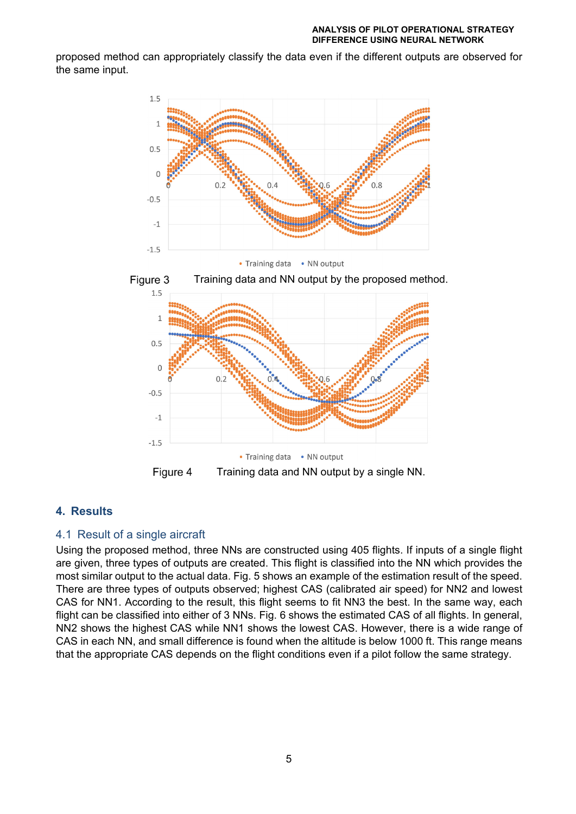proposed method can appropriately classify the data even if the different outputs are observed for the same input.







### **4. Results**

### 4.1 Result of a single aircraft

Using the proposed method, three NNs are constructed using 405 flights. If inputs of a single flight are given, three types of outputs are created. This flight is classified into the NN which provides the most similar output to the actual data. Fig. 5 shows an example of the estimation result of the speed. There are three types of outputs observed; highest CAS (calibrated air speed) for NN2 and lowest CAS for NN1. According to the result, this flight seems to fit NN3 the best. In the same way, each flight can be classified into either of 3 NNs. Fig. 6 shows the estimated CAS of all flights. In general, NN2 shows the highest CAS while NN1 shows the lowest CAS. However, there is a wide range of CAS in each NN, and small difference is found when the altitude is below 1000 ft. This range means that the appropriate CAS depends on the flight conditions even if a pilot follow the same strategy.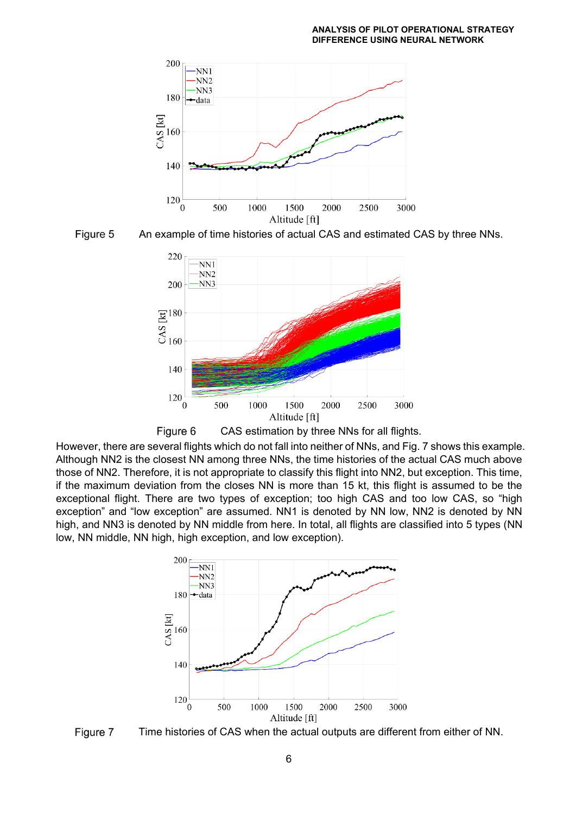



An example of time histories of actual CAS and estimated CAS by three NNs.





However, there are several flights which do not fall into neither of NNs, and Fig. 7 shows this example. Although NN2 is the closest NN among three NNs, the time histories of the actual CAS much above those of NN2. Therefore, it is not appropriate to classify this flight into NN2, but exception. This time, if the maximum deviation from the closes NN is more than 15 kt, this flight is assumed to be the exceptional flight. There are two types of exception; too high CAS and too low CAS, so "high exception" and "low exception" are assumed. NN1 is denoted by NN low, NN2 is denoted by NN high, and NN3 is denoted by NN middle from here. In total, all flights are classified into 5 types (NN low, NN middle, NN high, high exception, and low exception).



Figure 7 Time histories of CAS when the actual outputs are different from either of NN.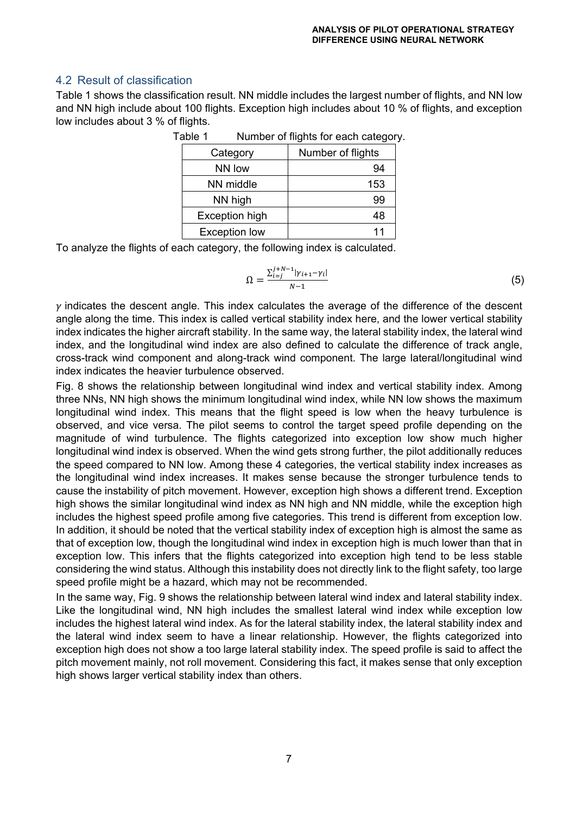# 4.2 Result of classification

Table 1 shows the classification result. NN middle includes the largest number of flights, and NN low and NN high include about 100 flights. Exception high includes about 10 % of flights, and exception low includes about 3 % of flights.

| Category              | Number of flights |
|-----------------------|-------------------|
| NN low                | 94                |
| NN middle             | 153               |
| NN high               | 99                |
| <b>Exception high</b> | 48                |
| <b>Exception low</b>  | 11                |

Table 1 Number of flights for each category.

To analyze the flights of each category, the following index is calculated.

$$
\Omega = \frac{\sum_{i=j}^{j+N-1} |\gamma_{i+1} - \gamma_i|}{N-1}
$$
\n(5)

 $\nu$  indicates the descent angle. This index calculates the average of the difference of the descent angle along the time. This index is called vertical stability index here, and the lower vertical stability index indicates the higher aircraft stability. In the same way, the lateral stability index, the lateral wind index, and the longitudinal wind index are also defined to calculate the difference of track angle, cross-track wind component and along-track wind component. The large lateral/longitudinal wind index indicates the heavier turbulence observed.

Fig. 8 shows the relationship between longitudinal wind index and vertical stability index. Among three NNs, NN high shows the minimum longitudinal wind index, while NN low shows the maximum longitudinal wind index. This means that the flight speed is low when the heavy turbulence is observed, and vice versa. The pilot seems to control the target speed profile depending on the magnitude of wind turbulence. The flights categorized into exception low show much higher longitudinal wind index is observed. When the wind gets strong further, the pilot additionally reduces the speed compared to NN low. Among these 4 categories, the vertical stability index increases as the longitudinal wind index increases. It makes sense because the stronger turbulence tends to cause the instability of pitch movement. However, exception high shows a different trend. Exception high shows the similar longitudinal wind index as NN high and NN middle, while the exception high includes the highest speed profile among five categories. This trend is different from exception low. In addition, it should be noted that the vertical stability index of exception high is almost the same as that of exception low, though the longitudinal wind index in exception high is much lower than that in exception low. This infers that the flights categorized into exception high tend to be less stable considering the wind status. Although this instability does not directly link to the flight safety, too large speed profile might be a hazard, which may not be recommended.

In the same way, Fig. 9 shows the relationship between lateral wind index and lateral stability index. Like the longitudinal wind, NN high includes the smallest lateral wind index while exception low includes the highest lateral wind index. As for the lateral stability index, the lateral stability index and the lateral wind index seem to have a linear relationship. However, the flights categorized into exception high does not show a too large lateral stability index. The speed profile is said to affect the pitch movement mainly, not roll movement. Considering this fact, it makes sense that only exception high shows larger vertical stability index than others.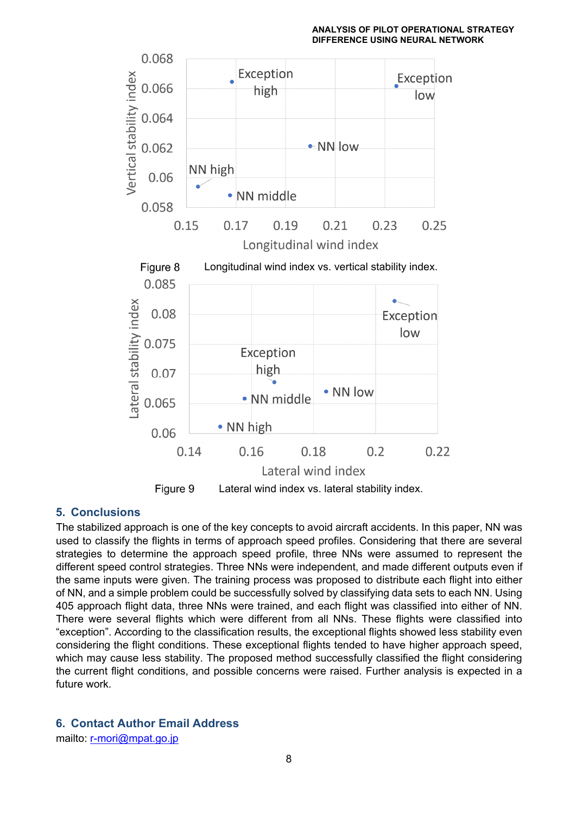

# **5. Conclusions**

The stabilized approach is one of the key concepts to avoid aircraft accidents. In this paper, NN was used to classify the flights in terms of approach speed profiles. Considering that there are several strategies to determine the approach speed profile, three NNs were assumed to represent the different speed control strategies. Three NNs were independent, and made different outputs even if the same inputs were given. The training process was proposed to distribute each flight into either of NN, and a simple problem could be successfully solved by classifying data sets to each NN. Using 405 approach flight data, three NNs were trained, and each flight was classified into either of NN. There were several flights which were different from all NNs. These flights were classified into "exception". According to the classification results, the exceptional flights showed less stability even considering the flight conditions. These exceptional flights tended to have higher approach speed, which may cause less stability. The proposed method successfully classified the flight considering the current flight conditions, and possible concerns were raised. Further analysis is expected in a future work.

# **6. Contact Author Email Address**

mailto: r-mori@mpat.go.jp